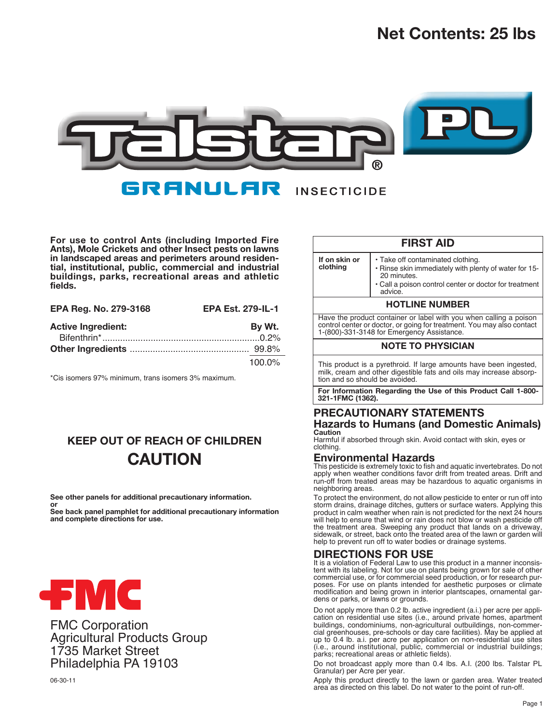# **Net Contents: 25 lbs**



**For use to control Ants (including Imported Fire Ants), Mole Crickets and other Insect pests on lawns in landscaped areas and perimeters around residential, institutional, public, commercial and industrial buildings, parks, recreational areas and athletic fields.**

| EPA Reg. No. 279-3168     | <b>EPA Est. 279-IL-1</b> |
|---------------------------|--------------------------|
| <b>Active Ingredient:</b> | By Wt.                   |
|                           |                          |
|                           |                          |
|                           | 100.0%                   |

\*Cis isomers 97% minimum, trans isomers 3% maximum.

## **KEEP OUT OF REACH OF CHILDREN CAUTION**

**See other panels for additional precautionary information.**

**or See back panel pamphlet for additional precautionary information and complete directions for use.**



FMC Corporation Agricultural Products Group 1735 Market Street Philadelphia PA 19103

|                                                                                                                                                                                            | <b>FIRST AID</b>                                                                                                                                                             |  |  |  |  |
|--------------------------------------------------------------------------------------------------------------------------------------------------------------------------------------------|------------------------------------------------------------------------------------------------------------------------------------------------------------------------------|--|--|--|--|
| If on skin or<br>clothing                                                                                                                                                                  | • Take off contaminated clothing.<br>. Rinse skin immediately with plenty of water for 15-<br>20 minutes<br>• Call a poison control center or doctor for treatment<br>advice |  |  |  |  |
| <b>HOTLINE NUMBER</b>                                                                                                                                                                      |                                                                                                                                                                              |  |  |  |  |
| Have the product container or label with you when calling a poison<br>control center or doctor, or going for treatment. You may also contact<br>1-(800)-331-3148 for Emergency Assistance. |                                                                                                                                                                              |  |  |  |  |
|                                                                                                                                                                                            | <b>NOTE TO PHYSICIAN</b>                                                                                                                                                     |  |  |  |  |
| tion and so should be avoided                                                                                                                                                              | This product is a pyrethroid. If large amounts have been ingested,<br>milk, cream and other digestible fats and oils may increase absorp-                                    |  |  |  |  |
| 321-1FMC (1362).                                                                                                                                                                           | For Information Regarding the Use of this Product Call 1-800-                                                                                                                |  |  |  |  |
|                                                                                                                                                                                            | PRECAUTIONARY STATEMENTS                                                                                                                                                     |  |  |  |  |
| <b>Hazards to Humans (and Domestic Animals)</b>                                                                                                                                            |                                                                                                                                                                              |  |  |  |  |
| Caution                                                                                                                                                                                    | Harmful if absorbed through skin. Avoid contact with skin, eyes or                                                                                                           |  |  |  |  |

clothing.

## **Environmental Hazards**

This pesticide is extremely toxic to fish and aquatic invertebrates. Do not apply when weather conditions favor drift from treated areas. Drift and run-off from treated areas may be hazardous to aquatic organisms in neighboring areas.

To protect the environment, do not allow pesticide to enter or run off into storm drains, drainage ditches, gutters or surface waters. Applying this product in calm weather when rain is not predicted for the next 24 hours will help to ensure that wind or rain does not blow or wash pesticide off the treatment area. Sweeping any product that lands on a driveway, sidewalk, or street, back onto the treated area of the lawn or garden will help to prevent run off to water bodies or drainage systems.

## **DIRECTIONS FOR USE**

It is a violation of Federal Law to use this product in a manner inconsistent with its labeling. Not for use on plants being grown for sale of other commercial use, or for commercial seed production, or for research purposes. For use on plants intended for aesthetic purposes or climate modification and being grown in interior plantscapes, ornamental gardens or parks, or lawns or grounds.

Do not apply more than 0.2 lb. active ingredient (a.i.) per acre per application on residential use sites (i.e., around private homes, apartment buildings, condominiums, non-agricultural outbuildings, non-commercial greenhouses, pre-schools or day care facilities). May be applied at up to 0.4 lb. a.i. per acre per application on non-residential use sites (i.e., around institutional, public, commercial or industrial buildings; parks; recreational areas or athletic fields).

Do not broadcast apply more than 0.4 lbs. A.I. (200 lbs. Talstar PL Granular) per Acre per year.

Apply this product directly to the lawn or garden area. Water treated area as directed on this label. Do not water to the point of run-off.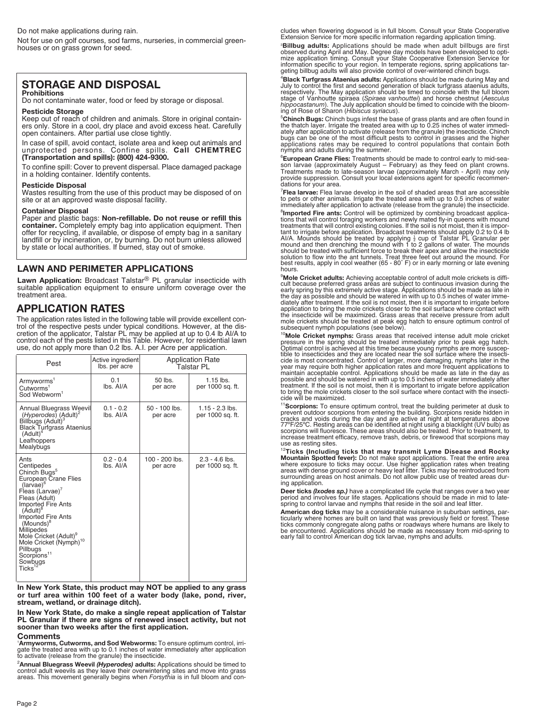Do not make applications during rain.

Not for use on golf courses, sod farms, nurseries, in commercial greenhouses or on grass grown for seed.

## **STORAGE AND DISPOSAL**

#### **Prohibitions**

Do not contaminate water, food or feed by storage or disposal.

#### **Pesticide Storage** Keep out of reach of children and animals. Store in original containers only. Store in a cool, dry place and avoid excess heat. Carefully

open containers. After partial use close tightly. In case of spill, avoid contact, isolate area and keep out animals and unprotected persons. Confine spills. **Call CHEMTREC (Transportation and spills): (800) 424-9300.**

To confine spill: Cover to prevent dispersal. Place damaged package in a holding container. Identify contents.

#### **Pesticide Disposal**

Wastes resulting from the use of this product may be disposed of on site or at an approved waste disposal facility.

#### **Container Disposal**

Paper and plastic bags: **Non-refillable. Do not reuse or refill this container.** Completely empty bag into application equipment. Then offer for recycling, if available, or dispose of empty bag in a sanitary landfill or by incineration, or, by burning. Do not burn unless allowed by state or local authorities. If burned, stay out of smoke.

#### **LAWN AND PERIMETER APPLICATIONS**

**Lawn Application:** Broadcast Talstar® PL granular insecticide with suitable application equipment to ensure uniform coverage over the treatment area.

## **APPLICATION RATES**

The application rates listed in the following table will provide excellent control of the respective pests under typical conditions. However, at the dis-<br>cretion of the applicator, Talstar PL may be applied at up to 0.4 lb AI/A to<br>control each of the pests listed in this Table. However, for resident use, do not apply more than 0.2 lbs. A.I. per Acre per application.

| Pest                                                                                                                                                                                                                                                                                                                                                                                           | Active ingredient<br>lbs. per acre | <b>Application Rate</b><br>Talstar PL |                                       |  |
|------------------------------------------------------------------------------------------------------------------------------------------------------------------------------------------------------------------------------------------------------------------------------------------------------------------------------------------------------------------------------------------------|------------------------------------|---------------------------------------|---------------------------------------|--|
| Armyworms <sup>1</sup><br>Cutworms <sup>1</sup><br>Sod Webworm <sup>1</sup>                                                                                                                                                                                                                                                                                                                    | 0.1<br>lbs. Al/A                   | 50 lbs.<br>per acre                   | $1.15$ lbs.<br>per 1000 sq. ft.       |  |
| Annual Bluegrass Weevil<br>(Hyperodes) (Adult) <sup>2</sup><br>Billbugs (Adult)<br><b>Black Turfgrass Ataenius</b><br>$(Adult)^4$<br>Leafhoppers<br>Mealybugs                                                                                                                                                                                                                                  | $0.1 - 0.2$<br>lbs. Al/A           | $50 - 100$ lbs.<br>per acre           | $1.15 - 2.3$ lbs.<br>per 1000 sq. ft. |  |
| Ants<br>Centipedes<br>Chinch Bugs <sup>5</sup><br>European Crane Flies<br>$(larvae)^6$<br>Fleas (Larvae)'<br>Fleas (Adult)<br><b>Imported Fire Ants</b><br>$(Adult)^d$<br><b>Imported Fire Ants</b><br>$(Mounds)$ <sup>8</sup><br>Millipedes<br>Mole Cricket (Adult) <sup>9</sup><br>Mole Cricket (Nymph) <sup>10</sup><br>Pillbugs<br>Scorpions <sup>11</sup><br>Sowbugs<br>$\sf{Ticks}^{12}$ | $0.2 - 0.4$<br>lbs. Al/A           | $100 - 200$ lbs.<br>per acre          | $2.3 - 4.6$ lbs.<br>per 1000 sq. ft.  |  |

**In New York State, this product may NOT be applied to any grass or turf area within 100 feet of a water body (lake, pond, river, stream, wetland, or drainage ditch).**

**In New York State, do make a single repeat application of Talstar PL Granular if there are signs of renewed insect activity, but not sooner than two weeks after the first application.**

#### **Comments**

**'Armyworms, Cutworms, and Sod Webworms:** To ensure optimum control, irri-<br>gate the treated area with up to 0.1 inches of water immediately after application<br>to activate (release from the granule) the insecticide.

<sup>2</sup> Annual Bluegrass Weevil (Hyperodes) adults: Applications should be timed to<br>control adult weevils as they leave their overwintering sites and move into grass<br>areas. This movement generally begins when *Forsythia* is in

cludes when flowering dogwood is in full bloom. Consult your State Cooperative Extension Service for more specific information regarding application timing.

3 **Billbug adults:** Applications should be made when adult billbugs are first observed during April and May. Degree day models have been developed to opti-<br>mize application timing. Consult your State Cooperative Extension Service for<br>information specific to your region. In temperate regions, spring geting billbug adults will also provide control of over-wintered chinch bugs.

4 **Black Turfgrass Ataenius adults:** Applications should be made during May and July to control the first and second generation of black turfgrass ataenius adults,<br>respectively. The May application should be timed to coincide with the full bloom<br>stage of Vanhoutte spiraea (Spiraea vanhouttei) and hors

5 **Chinch Bugs:** Chinch bugs infest the base of grass plants and are often found in the thatch layer. Irrigate the treated area with up to 0.25 inches of water immediately after application to activate (release from the granule) the insecticide. Chinch bugs can be one of the most difficult pests to control in grasses and the higher applications rates may be required to control populations that contain both nymphs and adults during the summer.

6 **European Crane Flies:** Treatments should be made to control early to mid-season larvae (approximately August – February) as they feed on plant crowns.<br>Treatments made to late-season larvae (approximately March - April) may only<br>provide suppression. Consult your local extensions agent for specific dations for your area.

7 **Flea larvae:** Flea larvae develop in the soil of shaded areas that are accessible to pets or other animals. Irrigate the treated area with up to 0.5 inches of water immediately after application to activate (release from the granule) the insecticide.

<sup>8</sup>**Imported Fire ants:** Control will be optimized by combining broadcast applications that will control foraging workers and newly mated fly-in queens with mound<br>treatments that will control existing colonies. If the soi hours.

9 **Mole Cricket adults:** Achieving acceptable control of adult mole crickets is difficult because preferred grass areas are subject to continuous invasion during the early spring by this extremely active stage. Applications should be made as late in the day as possible and should be watered in with up to 0.5 inches of water immediately after treatment. If the soil is not moist, then it is important to irrigate before application to bring the mole crickets closer to the soil surface where contact with the insecticide will be maximized. Grass areas that receive pressure from adult mole crickets should be treated at peak egg hatch to ensure optimum control of subsequent nymph populations (see below).

<sup>10</sup>**Mole Cricket nymphs:** Grass areas that received intense adult mole cricket pressure in the spring should be treated immediately prior to peak egg hatch.<br>Optimal control is achieved at this time because young nymphs are more uscep-<br>tible to insecticides and they are located near the soil surface w treatment. If the soil is not moist, then it is important to irrigate before application to bring the mole crickets closer to the soil surface where contact with the insecti-cide will be maximized.

<sup>11</sup>Scorpions: To ensure optimum control, treat the building perimeter at dusk to<br>prevent outdoor scorpions from entering the building. Scorpions reside hidden in<br>cracks and voids during the day and are active at night at scorpions will fluoresce. These areas should also be treated. Prior to treatment, to increase treatment efficacy, remove trash, debris, or firewood that scorpions may use as resting sites.

<sup>12</sup>Ticks (Including ticks that may transmit Lyme Disease and Rocky<br>Mountain Spotted fever): Do not make spot applications. Treat the entire area where exposure to ticks may occur. Use higher application rates when treating areas with dense ground cover or heavy leaf litter. Ticks may be reintroduced from surrounding areas on host animals. Do not allow public use of treated areas dur-ing application.

Deer ticks *(Ixodes sp.)* have a complicated life cycle that ranges over a two year<br>period and involves four life stages. Applications should be made in mid to late-<br>spring to control larvae and nymphs that reside in the s

**American dog ticks** may be a considerable nuisance in suburban settings, particularly where homes are built on land that was previously field or forest. These<br>ticks commonly congregate along paths or roadways where humans are likely to<br>be encountered. Applications should be made as necessary from